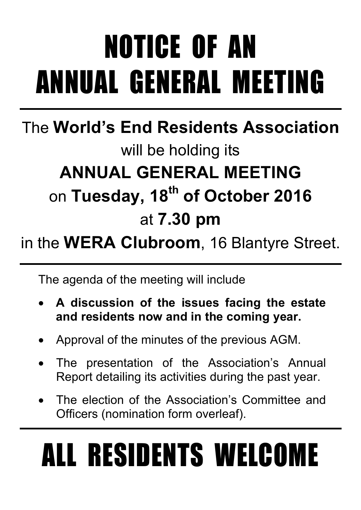# NOTICE OF AN ANNUAL GENERAL MEETING

### The **World's End Residents Association** will be holding its **ANNUAL GENERAL MEETING** on **Tuesday, 18th of October 2016** at **7.30 pm**

### in the **WERA Clubroom**, 16 Blantyre Street.

The agenda of the meeting will include

- **A discussion of the issues facing the estate and residents now and in the coming year.**
- Approval of the minutes of the previous AGM.
- The presentation of the Association's Annual Report detailing its activities during the past year.
- The election of the Association's Committee and Officers (nomination form overleaf).

# ALL RESIDENTS WELCOME